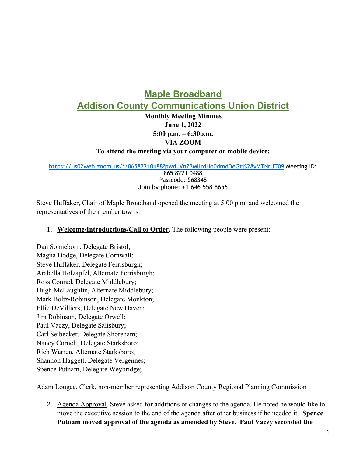## **Maple Broadband Addison County Communications Union District**

**Monthly Meeting Minutes June 1, 2022 5:00 p.m. – 6:30p.m. VIA ZOOM** 

**To attend the meeting via your computer or mobile device:**

https://us02web.zoom.us/j/86582210488?pwd=VnZ3MlIrdHo0dmdDeGtjS28yMTNrUT09 Meeting ID:

865 8221 0488 Passcode: 568348 Join by phone: +1 646 558 8656

Steve Huffaker, Chair of Maple Broadband opened the meeting at 5:00 p.m. and welcomed the representatives of the member towns.

## **1. Welcome/Introductions/Call to Order.** The following people were present:

Dan Sonneborn, Delegate Bristol; Magna Dodge, Delegate Cornwall; Steve Huffaker, Delegate Ferrisburgh; Arabella Holzapfel, Alternate Ferrisburgh; Ross Conrad, Delegate Middlebury; Hugh McLaughlin, Alternate Middlebury; Mark Boltz-Robinson, Delegate Monkton; Ellie DeVilliers, Delegate New Haven; Jim Robinson, Delegate Orwell; Paul Vaczy, Delegate Salisbury; Carl Seibecker, Delegate Shoreham; Nancy Cornell, Delegate Starksboro; Rich Warren, Alternate Starksboro; Shannon Haggett, Delegate Vergennes; Spence Putnam, Delegate Weybridge;

Adam Lougee, Clerk, non-member representing Addison County Regional Planning Commission

2. Agenda Approval. Steve asked for additions or changes to the agenda. He noted he would like to move the executive session to the end of the agenda after other business if he needed it. **Spence Putnam moved approval of the agenda as amended by Steve. Paul Vaczy seconded the**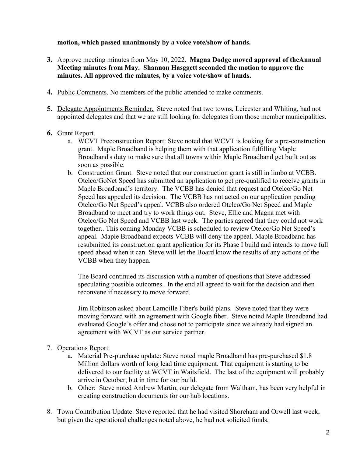**motion, which passed unanimously by a voice vote/show of hands.** 

- **3.** Approve meeting minutes from May 10, 2022. **Magna Dodge moved approval of theAnnual Meeting minutes from May. Shannon Hasggett seconded the motion to approve the minutes. All approved the minutes, by a voice vote/show of hands.**
- **4.** Public Comments. No members of the public attended to make comments.
- **5.** Delegate Appointments Reminder. Steve noted that two towns, Leicester and Whiting, had not appointed delegates and that we are still looking for delegates from those member municipalities.

## **6.** Grant Report.

- a. WCVT Preconstruction Report: Steve noted that WCVT is looking for a pre-construction grant. Maple Broadband is helping them with that application fulfilling Maple Broadband's duty to make sure that all towns within Maple Broadband get built out as soon as possible.
- b. Construction Grant. Steve noted that our construction grant is still in limbo at VCBB. Otelco/GoNet Speed has submitted an application to get pre-qualified to receive grants in Maple Broadband's territory. The VCBB has denied that request and Otelco/Go Net Speed has appealed its decision. The VCBB has not acted on our application pending Otelco/Go Net Speed's appeal. VCBB also ordered Otelco/Go Net Speed and Maple Broadband to meet and try to work things out. Steve, Ellie and Magna met with Otelco/Go Net Speed and VCBB last week. The parties agreed that they could not work together.. This coming Monday VCBB is scheduled to review Otelco/Go Net Speed's appeal. Maple Broadband expects VCBB will deny the appeal. Maple Broadband has resubmitted its construction grant application for its Phase I build and intends to move full speed ahead when it can. Steve will let the Board know the results of any actions of the VCBB when they happen.

The Board continued its discussion with a number of questions that Steve addressed speculating possible outcomes. In the end all agreed to wait for the decision and then reconvene if necessary to move forward.

Jim Robinson asked about Lamoille Fiber's build plans. Steve noted that they were moving forward with an agreement with Google fiber. Steve noted Maple Broadband had evaluated Google's offer and chose not to participate since we already had signed an agreement with WCVT as our service partner.

## 7. Operations Report.

- a. Material Pre-purchase update: Steve noted maple Broadband has pre-purchased \$1.8 Million dollars worth of long lead time equipment. That equipment is starting to be delivered to our facility at WCVT in Waitsfield. The last of the equipment will probably arrive in October, but in time for our build.
- b. Other: Steve noted Andrew Martin, our delegate from Waltham, has been very helpful in creating construction documents for our hub locations.
- 8. Town Contribution Update. Steve reported that he had visited Shoreham and Orwell last week, but given the operational challenges noted above, he had not solicited funds.